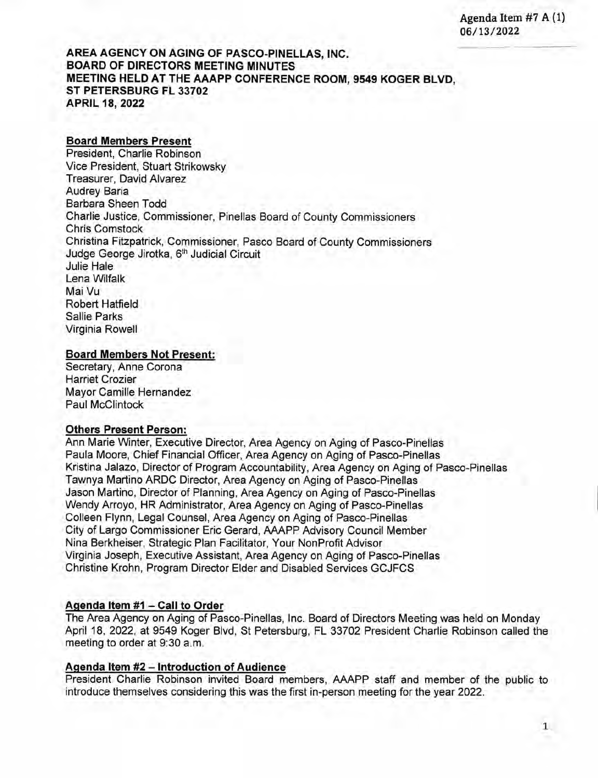Agenda Item #7 A (1) 06/13/2022

## **AREA AGENCY ON AGING OF PASCO-PINELLAS, INC. BOARD OF DIRECTORS MEETING MINUTES MEETING HELD AT THE AAAPP CONFERENCE ROOM, 9549 KOGER BLVD, ST PETERSBURG FL 33702 APRIL 18, 2022**

### **Board Members Present**

President, Charlie Robinson Vice President, Stuart Strikowsky Treasurer, David Alvarez Audrey Baria Barbara Sheen Todd Charlie Justice, Commissioner, Pinellas Board of County Commissioners Chris Comstock Christina Fitzpatrick, Commissioner, Pasco Board of County Commissioners Judge George Jirotka, 6<sup>th</sup> Judicial Circuit Julie Hale Lena Wilfalk Mai Vu Robert Hatfield Sallie Parks Virginia Rowell

#### **Board Members Not Present:**

Secretary, Anne Corona Harriet Crozier Mayor Camille Hernandez Paul McClintock

#### **Others Present Person:**

Ann Marie Winter, Executive Director, Area Agency on Aging of Pasco-Pinellas Paula Moore, Chief Financial Officer, Area Agency on Aging of Pasco-Pinellas Kristina Jalazo, Director of Program Accountability, Area Agency on Aging of Pasco-Pinellas Tawnya Martino ARDC Director, Area Agency on Aging of Pasco-Pinellas Jason Martino, Director of Planning, Area Agency on Aging of Pasco-Pinellas Wendy Arroyo, HR Administrator, Area Agency on Aging of Pasco-Pinellas Colleen Flynn, Legal Counsel, Area Agency on Aging of Pasco-Pinellas City of Largo Commissioner Eric Gerard, AAAPP Advisory Council Member Nina Berkheiser, Strategic Plan Facilitator, Your NonProfit Advisor Virginia Joseph, Executive Assistant, Area Agency on Aging of Pasco-Pinellas Christine Krohn, Program Director Elder and Disabled Services GCJFCS

#### **Aqenda Item #1 — Call to Order**

The Area Agency on Aging of Pasco-Pinellas, Inc. Board of Directors Meeting was held on Monday April 18, 2022, at 9549 Koger Blvd, St Petersburg, FL 33702 President Charlie Robinson called the meeting to order at 9:30 a.m.

#### **Aqenda Item #2 — Introduction of Audience**

President Charlie Robinson invited Board members, AAAPP staff and member of the public to introduce themselves considering this was the first in-person meeting for the year 2022.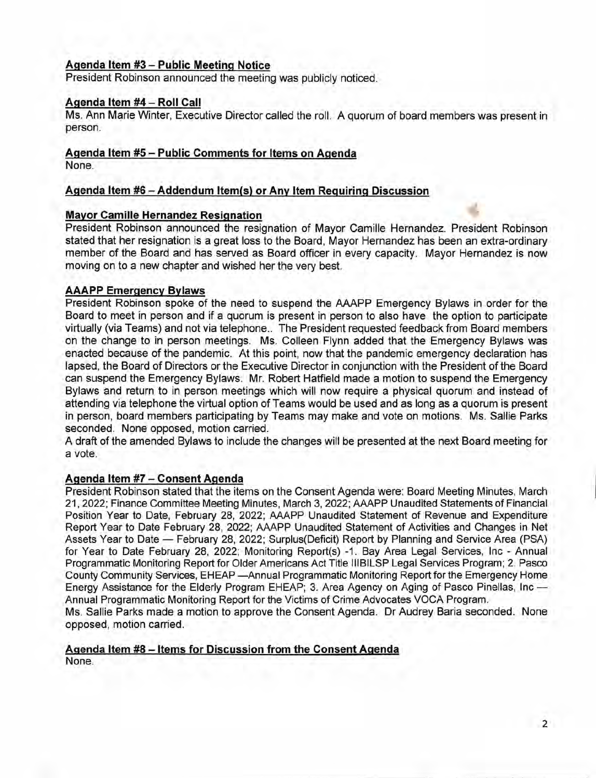## **Agenda Item #3— Public Meeting Notice**

President Robinson announced the meeting was publicly noticed.

#### **Agenda Item #4 — Roll Call**

Ms. Ann Marie Winter, Executive Director called the roll. A quorum of board members was present in person.

#### **Agenda Item #5 — Public Comments for Items on Agenda**

None.

#### **Agenda Item #6 — Addendum Item(s) or Any Item Requiring Discussion**

#### **Mayor Camille Hernandez Resiqnation**

President Robinson announced the resignation of Mayor Camille Hernandez. President Robinson stated that her resignation is a great loss to the Board, Mayor Hernandez has been an extra-ordinary member of the Board and has served as Board officer in every capacity. Mayor Hernandez is now moving on to a new chapter and wished her the very best.

#### **AAAPP Emergency Bylaws**

President Robinson spoke of the need to suspend the AAAPP Emergency Bylaws in order for the Board to meet in person and if a quorum is present in person to also have the option to participate virtually (via Teams) and not via telephone.. The President requested feedback from Board members on the change to in person meetings. Ms. Colleen Flynn added that the Emergency Bylaws was enacted because of the pandemic. At this point, now that the pandemic emergency declaration has lapsed, the Board of Directors or the Executive Director in conjunction with the President of the Board can suspend the Emergency Bylaws. Mr. Robert Hatfield made a motion to suspend the Emergency Bylaws and return to in person meetings which will now require a physical quorum and instead of attending via telephone the virtual option of Teams would be used and as long as a quorum is present in person, board members participating by Teams may make and vote on motions. Ms. Sallie Parks seconded. None opposed, motion carried.

A draft of the amended Bylaws to include the changes will be presented at the next Board meeting for a vote.

#### **Agenda Item #7** — **Consent Agenda**

President Robinson stated that the items on the Consent Agenda were: Board Meeting Minutes, March 21, 2022; Finance Committee Meeting Minutes, March 3, 2022; AAAPP Unaudited Statements of Financial Position Year to Date, February 28, 2022; AAAPP Unaudited Statement of Revenue and Expenditure Report Year to Date February 28, 2022; AAAPP Unaudited Statement of Activities and Changes in Net Assets Year to Date — February 28, 2022; Surplus(Deficit) Report by Planning and Service Area (PSA) for Year to Date February 28, 2022; Monitoring Report(s) -1. Bay Area Legal Services, Inc - Annual Programmatic Monitoring Report for Older Americans Act Title lllBILSP Legal Services Program; 2. Pasco County Community Services, EHEAP —Annual Programmatic Monitoring Report for the Emergency Home Energy Assistance for the Elderly Program EHEAP; 3. Area Agency on Aging of Pasco Pinellas, Inc — Annual Programmatic Monitoring Report for the Victims of Crime Advocates VOCA Program. Ms. Sallie Parks made a motion to approve the Consent Agenda. Dr Audrey Baria seconded. None

**Aqenda Item #8 — Items for Discussion from the Consent Agenda** 

opposed, motion carried.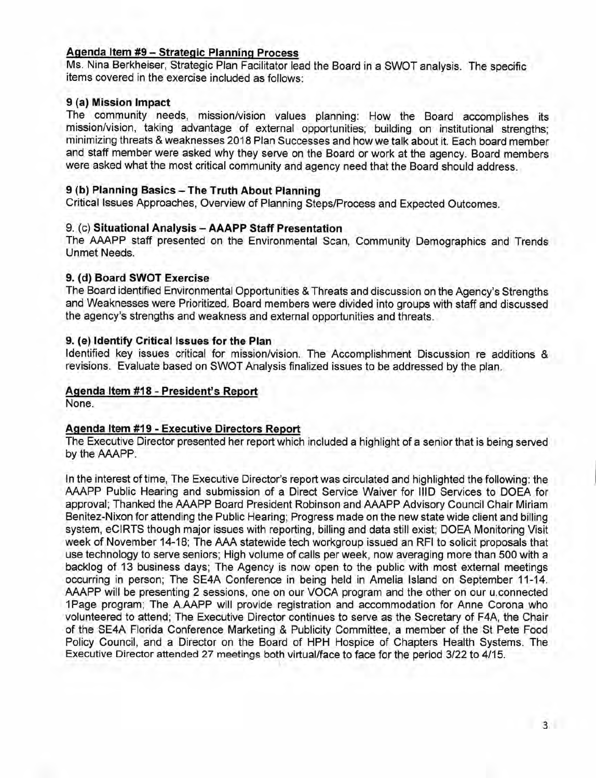# **Agenda Item #9 — Strategic Planning Process**

Ms. Nina Berkheiser, Strategic Plan Facilitator lead the Board in a SWOT analysis. The specific items covered in the exercise included as follows:

## **9 (a) Mission Impact**

The community needs, mission/vision values planning: How the Board accomplishes its mission/vision, taking advantage of external opportunities; building on institutional strengths; minimizing threats & weaknesses 2018 Plan Successes and how we talk about it. Each board member and staff member were asked why they serve on the Board or work at the agency. Board members were asked what the most critical community and agency need that the Board should address.

## **9 (b) Planning Basics — The Truth About Planning**

Critical Issues Approaches, Overview of Planning Steps/Process and Expected Outcomes.

## 9. (c) **Situational Analysis** — **AAAPP Staff Presentation**

The AAAPP staff presented on the Environmental Scan, Community Demographics and Trends Unmet Needs.

#### **9. (d) Board SWOT Exercise**

The Board identified Environmental Opportunities & Threats and discussion on the Agency's Strengths and Weaknesses were Prioritized. Board members were divided into groups with staff and discussed the agency's strengths and weakness and external opportunities and threats.

#### **9. (e) Identify Critical Issues for the Plan**

Identified key issues critical for mission/vision. The Accomplishment Discussion re additions & revisions. Evaluate based on SWOT Analysis finalized issues to be addressed by the plan.

# **Agenda Item #18 - President's Report**

None.

# **Agenda Item #19 - Executive Directors Report**

The Executive Director presented her report which included a highlight of a senior that is being served by the AAAPP.

In the interest of time, The Executive Director's report was circulated and highlighted the following: the AAAPP Public Hearing and submission of a Direct Service Waiver for lID Services to DOEA for approval; Thanked the AAAPP Board President Robinson and AAAPP Advisory Council Chair Miriam Benitez-Nixon for attending the Public Hearing; Progress made on the new state wide client and billing system, eCIRTS though major issues with reporting, billing and data still exist; DOEA Monitoring Visit week of November 14-18; The AAA statewide tech workgroup issued an RFI to solicit proposals that use technology to serve seniors; High volume of calls per week, now averaging more than 500 with a backlog of 13 business days; The Agency is now open to the public with most external meetings occurring in person; The SE4A Conference in being held in Amelia Island on September 11-14. AAAPP will be presenting 2 sessions, one on our VOCA program and the other on our u.connected iPage program; The A.AAPP will provide registration and accommodation for Anne Corona who volunteered to attend; The Executive Director continues to serve as the Secretary of F4A, the Chair of the SE4A Florida Conference Marketing & Publicity Committee, a member of the St Pete Food Policy Council, and a Director on the Board of HPH Hospice of Chapters Health Systems. The Executive Director attended 27 meetings both virtual/face to face for the period 3/22 to 4/15.